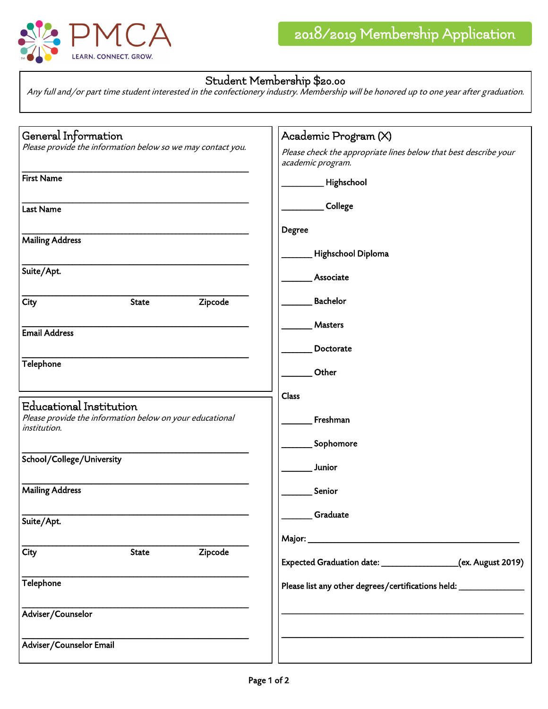

## Student Membership \$20.00

Any full and/or part time student interested in the confectionery industry. Membership will be honored up to one year after graduation.

| General Information<br>Please provide the information below so we may contact you.                         | Academic Program (X)                                                                  |
|------------------------------------------------------------------------------------------------------------|---------------------------------------------------------------------------------------|
|                                                                                                            | Please check the appropriate lines below that best describe your<br>academic program. |
| <b>First Name</b>                                                                                          | Highschool                                                                            |
| <b>Last Name</b>                                                                                           | College                                                                               |
|                                                                                                            | <b>Degree</b>                                                                         |
| <b>Mailing Address</b>                                                                                     | Highschool Diploma                                                                    |
| Suite/Apt.                                                                                                 | Associate                                                                             |
| Zipcode<br><b>City</b><br><b>State</b>                                                                     | Bachelor                                                                              |
| <b>Email Address</b>                                                                                       | <b>Masters</b>                                                                        |
|                                                                                                            | Doctorate                                                                             |
| Telephone                                                                                                  | Other                                                                                 |
|                                                                                                            | Class                                                                                 |
| <b>Educational Institution</b><br>Please provide the information below on your educational<br>institution. | Freshman                                                                              |
|                                                                                                            | Sophomore                                                                             |
| School/College/University                                                                                  | Junior                                                                                |
| <b>Mailing Address</b>                                                                                     | Senior                                                                                |
| Suite/Apt.                                                                                                 | Graduate                                                                              |
|                                                                                                            |                                                                                       |
| Zipcode<br>City<br><b>State</b>                                                                            | Expected Graduation date: __________________(ex. August 2019)                         |
| Telephone                                                                                                  | Please list any other degrees/certifications held: _____________________________      |
| Adviser/Counselor                                                                                          |                                                                                       |
| Adviser/Counselor Email                                                                                    |                                                                                       |